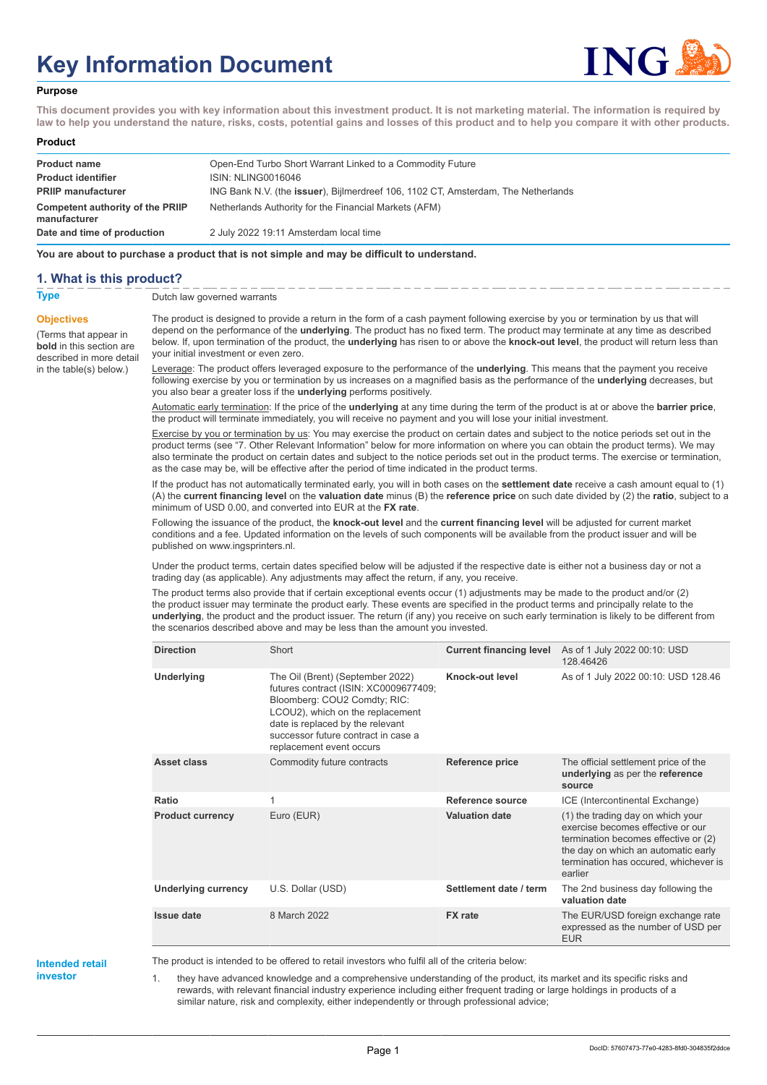# **Key Information Document**



#### **Purpose**

**This document provides you with key information about this investment product. It is not marketing material. The information is required by law to help you understand the nature, risks, costs, potential gains and losses of this product and to help you compare it with other products.**

#### **Product**

| <b>Product name</b><br><b>Product identifier</b> | Open-End Turbo Short Warrant Linked to a Commodity Future<br>ISIN: NLING0016046   |
|--------------------------------------------------|-----------------------------------------------------------------------------------|
| <b>PRIIP manufacturer</b>                        | ING Bank N.V. (the issuer), Bijlmerdreef 106, 1102 CT, Amsterdam, The Netherlands |
| Competent authority of the PRIIP<br>manufacturer | Netherlands Authority for the Financial Markets (AFM)                             |
| Date and time of production                      | 2 July 2022 19:11 Amsterdam local time                                            |

**You are about to purchase a product that is not simple and may be difficult to understand.**

### **1. What is this product?**

**Objectives**

(Terms that appear in **bold** in this section are

in the table(s) below.)

**Type** Dutch law governed warrants

described in more detail The product is designed to provide a return in the form of a cash payment following exercise by you or termination by us that will depend on the performance of the **underlying**. The product has no fixed term. The product may terminate at any time as described below. If, upon termination of the product, the **underlying** has risen to or above the **knock-out level**, the product will return less than your initial investment or even zero.

> Leverage: The product offers leveraged exposure to the performance of the **underlying**. This means that the payment you receive following exercise by you or termination by us increases on a magnified basis as the performance of the **underlying** decreases, but you also bear a greater loss if the **underlying** performs positively.

> Automatic early termination: If the price of the **underlying** at any time during the term of the product is at or above the **barrier price**, the product will terminate immediately, you will receive no payment and you will lose your initial investment.

Exercise by you or termination by us: You may exercise the product on certain dates and subject to the notice periods set out in the product terms (see "7. Other Relevant Information" below for more information on where you can obtain the product terms). We may also terminate the product on certain dates and subject to the notice periods set out in the product terms. The exercise or termination, as the case may be, will be effective after the period of time indicated in the product terms.

If the product has not automatically terminated early, you will in both cases on the **settlement date** receive a cash amount equal to (1) (A) the **current financing level** on the **valuation date** minus (B) the **reference price** on such date divided by (2) the **ratio**, subject to a minimum of USD 0.00, and converted into EUR at the **FX rate**.

Following the issuance of the product, the **knock-out level** and the **current financing level** will be adjusted for current market conditions and a fee. Updated information on the levels of such components will be available from the product issuer and will be published on www.ingsprinters.nl.

Under the product terms, certain dates specified below will be adjusted if the respective date is either not a business day or not a trading day (as applicable). Any adjustments may affect the return, if any, you receive.

The product terms also provide that if certain exceptional events occur (1) adjustments may be made to the product and/or (2) the product issuer may terminate the product early. These events are specified in the product terms and principally relate to the **underlying**, the product and the product issuer. The return (if any) you receive on such early termination is likely to be different from the scenarios described above and may be less than the amount you invested.

| <b>Direction</b>           | Short                                                                                                                                                                                                                                                | <b>Current financing level</b> | As of 1 July 2022 00:10: USD<br>128.46426                                                                                                                                                                 |
|----------------------------|------------------------------------------------------------------------------------------------------------------------------------------------------------------------------------------------------------------------------------------------------|--------------------------------|-----------------------------------------------------------------------------------------------------------------------------------------------------------------------------------------------------------|
| Underlying                 | The Oil (Brent) (September 2022)<br>futures contract (ISIN: XC0009677409;<br>Bloomberg: COU2 Comdty; RIC:<br>LCOU2), which on the replacement<br>date is replaced by the relevant<br>successor future contract in case a<br>replacement event occurs | Knock-out level                | As of 1 July 2022 00:10: USD 128.46                                                                                                                                                                       |
| Asset class                | Commodity future contracts                                                                                                                                                                                                                           | Reference price                | The official settlement price of the<br>underlying as per the reference<br>source                                                                                                                         |
| Ratio                      | 1                                                                                                                                                                                                                                                    | Reference source               | ICE (Intercontinental Exchange)                                                                                                                                                                           |
| <b>Product currency</b>    | Euro (EUR)                                                                                                                                                                                                                                           | <b>Valuation date</b>          | (1) the trading day on which your<br>exercise becomes effective or our<br>termination becomes effective or (2)<br>the day on which an automatic early<br>termination has occured, whichever is<br>earlier |
| <b>Underlying currency</b> | U.S. Dollar (USD)                                                                                                                                                                                                                                    | Settlement date / term         | The 2nd business day following the<br>valuation date                                                                                                                                                      |
| <b>Issue date</b>          | 8 March 2022                                                                                                                                                                                                                                         | <b>FX</b> rate                 | The EUR/USD foreign exchange rate<br>expressed as the number of USD per<br><b>EUR</b>                                                                                                                     |

**Intended retail investor**

The product is intended to be offered to retail investors who fulfil all of the criteria below:

1. they have advanced knowledge and a comprehensive understanding of the product, its market and its specific risks and rewards, with relevant financial industry experience including either frequent trading or large holdings in products of a similar nature, risk and complexity, either independently or through professional advice;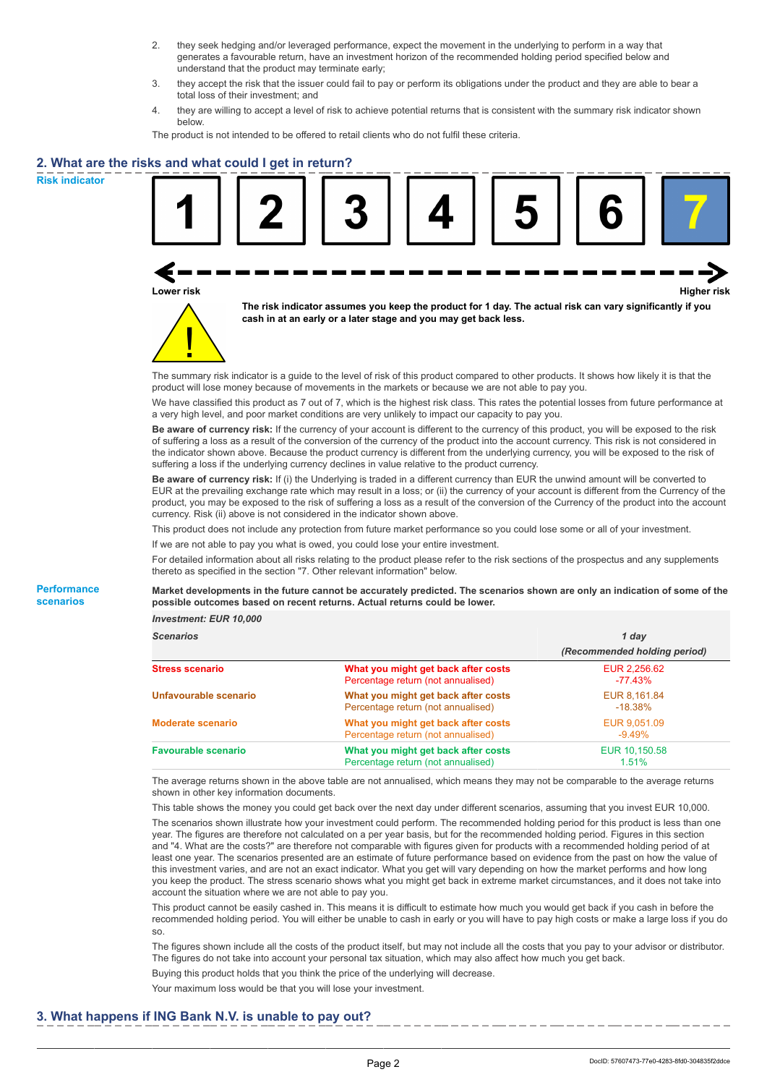- 2. they seek hedging and/or leveraged performance, expect the movement in the underlying to perform in a way that generates a favourable return, have an investment horizon of the recommended holding period specified below and understand that the product may terminate early;
- 3. they accept the risk that the issuer could fail to pay or perform its obligations under the product and they are able to bear a total loss of their investment; and
- 4. they are willing to accept a level of risk to achieve potential returns that is consistent with the summary risk indicator shown below.

The product is not intended to be offered to retail clients who do not fulfil these criteria.

## **2. What are the risks and what could I get in return?**

**Risk indicator**

**Performance scenarios**





**The risk indicator assumes you keep the product for 1 day. The actual risk can vary significantly if you cash in at an early or a later stage and you may get back less.**

The summary risk indicator is a guide to the level of risk of this product compared to other products. It shows how likely it is that the product will lose money because of movements in the markets or because we are not able to pay you.

We have classified this product as 7 out of 7, which is the highest risk class. This rates the potential losses from future performance at a very high level, and poor market conditions are very unlikely to impact our capacity to pay you.

**Be aware of currency risk:** If the currency of your account is different to the currency of this product, you will be exposed to the risk of suffering a loss as a result of the conversion of the currency of the product into the account currency. This risk is not considered in the indicator shown above. Because the product currency is different from the underlying currency, you will be exposed to the risk of suffering a loss if the underlying currency declines in value relative to the product currency.

**Be aware of currency risk:** If (i) the Underlying is traded in a different currency than EUR the unwind amount will be converted to EUR at the prevailing exchange rate which may result in a loss; or (ii) the currency of your account is different from the Currency of the product, you may be exposed to the risk of suffering a loss as a result of the conversion of the Currency of the product into the account currency. Risk (ii) above is not considered in the indicator shown above.

This product does not include any protection from future market performance so you could lose some or all of your investment.

If we are not able to pay you what is owed, you could lose your entire investment.

For detailed information about all risks relating to the product please refer to the risk sections of the prospectus and any supplements thereto as specified in the section "7. Other relevant information" below.

**Market developments in the future cannot be accurately predicted. The scenarios shown are only an indication of some of the possible outcomes based on recent returns. Actual returns could be lower.**

*Investment: EUR 10,000*

| <b>Scenarios</b>           |                                                                           | 1 day                        |  |
|----------------------------|---------------------------------------------------------------------------|------------------------------|--|
|                            |                                                                           | (Recommended holding period) |  |
| Stress scenario            | What you might get back after costs<br>Percentage return (not annualised) | EUR 2,256.62<br>-77.43%      |  |
| Unfavourable scenario      | What you might get back after costs<br>Percentage return (not annualised) | EUR 8,161.84<br>$-18.38\%$   |  |
| <b>Moderate scenario</b>   | What you might get back after costs<br>Percentage return (not annualised) | EUR 9.051.09<br>$-9.49%$     |  |
| <b>Favourable scenario</b> | What you might get back after costs<br>Percentage return (not annualised) | EUR 10.150.58<br>1.51%       |  |

The average returns shown in the above table are not annualised, which means they may not be comparable to the average returns shown in other key information documents.

This table shows the money you could get back over the next day under different scenarios, assuming that you invest EUR 10,000. The scenarios shown illustrate how your investment could perform. The recommended holding period for this product is less than one year. The figures are therefore not calculated on a per year basis, but for the recommended holding period. Figures in this section and "4. What are the costs?" are therefore not comparable with figures given for products with a recommended holding period of at least one year. The scenarios presented are an estimate of future performance based on evidence from the past on how the value of this investment varies, and are not an exact indicator. What you get will vary depending on how the market performs and how long you keep the product. The stress scenario shows what you might get back in extreme market circumstances, and it does not take into account the situation where we are not able to pay you.

This product cannot be easily cashed in. This means it is difficult to estimate how much you would get back if you cash in before the recommended holding period. You will either be unable to cash in early or you will have to pay high costs or make a large loss if you do so.

The figures shown include all the costs of the product itself, but may not include all the costs that you pay to your advisor or distributor. The figures do not take into account your personal tax situation, which may also affect how much you get back.

Buying this product holds that you think the price of the underlying will decrease.

Your maximum loss would be that you will lose your investment.

## **3. What happens if ING Bank N.V. is unable to pay out?**